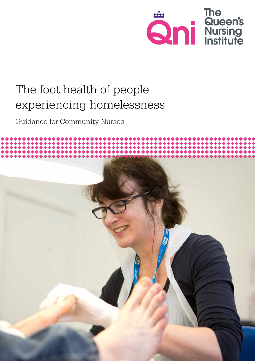

# The foot health of people experiencing homelessness

Guidance for Community Nurses

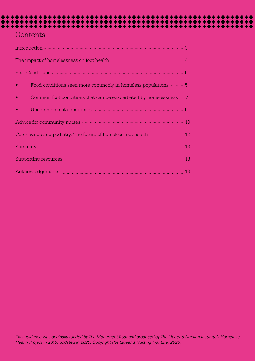## **Contents**

| Food conditions seen more commonly in homeless populations  5<br>$\bullet$     |  |
|--------------------------------------------------------------------------------|--|
| Common foot conditions that can be exacerbated by homelessness  7<br>$\bullet$ |  |
|                                                                                |  |
|                                                                                |  |
|                                                                                |  |
|                                                                                |  |
|                                                                                |  |
|                                                                                |  |

\*\*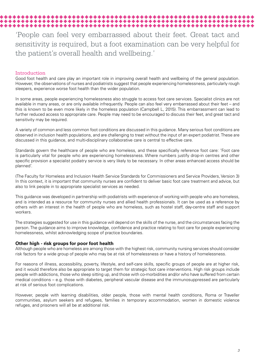# 

'People can feel very embarrassed about their feet. Great tact and sensitivity is required, but a foot examination can be very helpful for the patient's overall health and wellbeing.'

#### Introduction

Good foot health and care play an important role in improving overall health and wellbeing of the general population. However, the observations of nurses and podiatrists suggest that people experiencing homelessness, particularly rough sleepers, experience worse foot health than the wider population.

In some areas, people experiencing homelessness also struggle to access foot care services. Specialist clinics are not available in many areas, or are only available infrequently. People can also feel very embarrassed about their feet – and this is known to be even more likely in the homeless population (Campbell L, 2015). This embarrassment can lead to further reduced access to appropriate care. People may need to be encouraged to discuss their feet, and great tact and sensitivity may be required.

A variety of common and less common foot conditions are discussed in this guidance. Many serious foot conditions are observed in inclusion health populations, and are challenging to treat without the input of an expert podiatrist. These are discussed in this guidance, and multi-disciplinary collaborative care is central to effective care.

Standards govern the healthcare of people who are homeless, and these specifically reference foot care: 'Foot care is particularly vital for people who are experiencing homelessness. Where numbers justify drop-in centres and other specific provision a specialist podiatry service is very likely to be necessary. In other areas enhanced access should be planned'.

(The Faculty for Homeless and Inclusion Health Service Standards for Commissioners and Service Providers, Version 3) In this context, it is important that community nurses are confident to deliver basic foot care treatment and advice, but also to link people in to appropriate specialist services as needed.

This guidance was developed in partnership with podiatrists with experience of working with people who are homeless, and is intended as a resource for community nurses and allied health professionals. It can be used as a reference by others with an interest in the health of people who are homeless, such as hostel staff, day-centre staff and support workers.

The strategies suggested for use in this guidance will depend on the skills of the nurse, and the circumstances facing the person. The guidance aims to improve knowledge, confidence and practice relating to foot care for people experiencing homelessness, whilst acknowledging scope of practice boundaries.

#### **Other high - risk groups for poor foot health**

Although people who are homeless are among those with the highest risk, community nursing services should consider risk factors for a wide group of people who may be at risk of homelessness or have a history of homelessness.

For reasons of illness, accessibility, poverty, lifestyle, and self-care skills, specific groups of people are at higher risk, and it would therefore also be appropriate to target them for strategic foot care interventions. High risk groups include people with addictions, those who sleep sitting up, and those with co-morbidities and/or who have suffered from certain medical conditions – e.g. those with diabetes, peripheral vascular disease and the immunosuppressed are particularly at risk of serious foot complications.

However, people with learning disabilities, older people, those with mental health conditions, Roma or Traveller communities, asylum seekers and refugees, families in temporary accommodation, women in domestic violence refuges, and prisoners will all be at additional risk.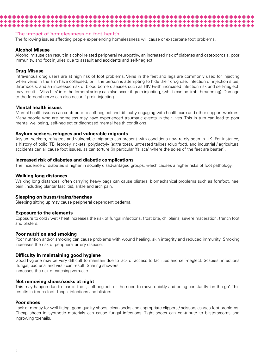#### The impact of homelessness on foot health

\*\*\*\*\*\*\*\*\*\*\*\*\*\*\*\*\*\*\*\*\*\*\*\*\*\*\*\*\*

The following issues affecting people experiencing homelessness will cause or exacerbate foot problems.

\*\*\*\*\*\*\*\*\*\*\*\*\*\*\*\*

#### **Alcohol Misuse**

Alcohol misuse can result in alcohol related peripheral neuropathy, an increased risk of diabetes and osteoporosis, poor immunity, and foot injuries due to assault and accidents and self-neglect.

#### **Drug Misuse**

Intravenous drug users are at high risk of foot problems. Veins in the feet and legs are commonly used for injecting when veins in the arm have collapsed, or if the person is attempting to hide their drug use. Infection of injection sites, thrombosis, and an increased risk of blood borne diseases such as HIV (with increased infection risk and self-neglect) may result. 'Miss-hits' into the femoral artery can also occur if groin injecting, (which can be limb threatening). Damage to the femoral nerve can also occur if groin injecting.

#### **Mental health issues**

Mental health issues can contribute to self-neglect and difficulty engaging with health care and other support workers. Many people who are homeless may have experienced traumatic events in their lives. This in turn can lead to poor mental wellbeing, self-neglect or diagnosed mental health conditions.

#### **Asylum seekers, refugees and vulnerable migrants**

Asylum seekers, refugees and vulnerable migrants can present with conditions now rarely seen in UK. For instance, a history of polio, TB, leprosy, rickets, polydactyly (extra toes), untreated talipes (club foot), and industrial / agricultural accidents can all cause foot issues, as can torture (in particular 'fallaca' where the soles of the feet are beaten).

#### **Increased risk of diabetes and diabetic complications**

The incidence of diabetes is higher in socially disadvantaged groups, which causes a higher risks of foot pathology.

#### **Walking long distances**

Walking long distances, often carrying heavy bags can cause blisters, biomechanical problems such as forefoot, heel pain (including plantar fasciitis), ankle and arch pain.

#### **Sleeping on buses/trains/benches**

Sleeping sitting up may cause peripheral dependent oedema.

#### **Exposure to the elements**

Exposure to cold / wet / heat increases the risk of fungal infections, frost bite, chilblains, severe maceration, trench foot and blisters.

#### **Poor nutrition and smoking**

Poor nutrition and/or smoking can cause problems with wound healing, skin integrity and reduced immunity. Smoking increases the risk of peripheral artery disease.

#### **Difficulty in maintaining good hygiene**

Good hygiene may be very difficult to maintain due to lack of access to facilities and self-neglect. Scabies, infections (fungal, bacterial and viral) can result. Sharing showers increases the risk of catching verrucae.

#### **Not removing shoes/socks at night**

This may happen due to fear of theft, self-neglect, or the need to move quickly and being constantly 'on the go'. This results in trench foot, fungal infections and blisters.

#### **Poor shoes**

Lack of money for well fitting, good quality shoes, clean socks and appropriate clippers / scissors causes foot problems. Cheap shoes in synthetic materials can cause fungal infections. Tight shoes can contribute to blisters/corns and ingrowing toenails.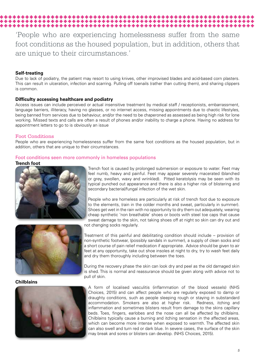## 'People who are experiencing homelessness suffer from the same foot conditions as the housed population, but in addition, others that are unique to their circumstances.'

#### **Self-treating**

Due to lack of podiatry, the patient may resort to using knives, other improvised blades and acid-based corn plasters. This can result in ulceration, infection and scarring. Pulling off toenails (rather than cutting them), and sharing clippers is common.

#### **Difficulty accessing healthcare and podiatry**

Access issues can include perceived or actual insensitive treatment by medical staff / receptionists, embarrassment, language barriers, illiteracy, having no glasses, or no internet access, missing appointments due to chaotic lifestyles, being banned from services due to behaviour, and/or the need to be chaperoned as assessed as being high risk for lone working. Missed texts and calls are often a result of phones and/or inability to charge a phone. Having no address for appointment letters to go to is obviously an issue

#### Foot Conditions

People who are experiencing homelessness suffer from the same foot conditions as the housed population, but in addition, others that are unique to their circumstances.

#### Foot conditions seen more commonly in homeless populations

#### **Trench foot**





**Chilblains** 



Trench foot is caused by prolonged submersion or exposure to water. Feet may feel numb, heavy and painful. Feet may appear severely macerated (blanched or grey, swollen, waxy and wrinkled). Pitted keratolysis may be seen with its typical punched out appearance and there is also a higher risk of blistering and secondary bacterial/fungal infection of the wet skin.

People who are homeless are particularly at risk of trench foot due to exposure to the elements, (rain in the colder months and sweat, particularly in summer). Shoes get wet in the rain with no opportunity to dry them out adequately, wearing cheap synthetic 'non breathable' shoes or boots with steel toe caps that cause sweat damage to the skin, not taking shoes off at night so skin can dry out and

not changing socks regularly.

Treatment of this painful and debilitating condition should include – provision of non-synthetic footwear, (possibly sandals in summer), a supply of clean socks and a short course of pain relief medication if appropriate. Advice should be given to air feet at any opportunity, take out shoe insoles at night to dry, try to wash feet daily and dry them thoroughly including between the toes.

During the recovery phase the skin can look dry and peel as the old damaged skin is shed. This is normal and reassurance should be given along with advice not to pull of skin.

A form of localised vasculitis (inflammation of the blood vessels) (NHS Choices, 2015) and can affect people who are regularly exposed to damp or draughty conditions, such as people sleeping rough or staying in substandard accommodation. Smokers are also at higher risk. Redness, itching and inflammation and sometimes blisters result from damage to the skins capillary beds. Toes, fingers, earlobes and the nose can all be affected by chilblains. Chilblains typically cause a burning and itching sensation in the affected areas, which can become more intense when exposed to warmth. The affected skin can also swell and turn red or dark blue. In severe cases, the surface of the skin may break and sores or blisters can develop. (NHS Choices, 2015).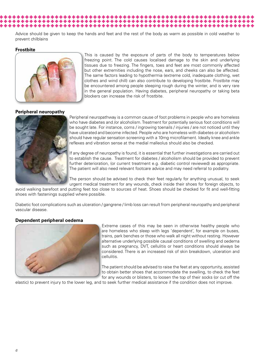Advice should be given to keep the hands and feet and the rest of the body as warm as possible in cold weather to prevent chilblains

#### **Frostbite**



This is caused by the exposure of parts of the body to temperatures below freezing point. The cold causes localised damage to the skin and underlying tissues due to freezing. The fingers, toes and feet are most commonly affected but other extremities including the nose, ears, and cheeks can also be affected. The same factors leading to hypothermia (extreme cold, inadequate clothing, wet clothes and wind chill) can also contribute to developing frostbite. Frostbite may be encountered among people sleeping rough during the winter, and is very rare in the general population. Having diabetes, peripheral neuropathy or taking beta blockers can increase the risk of frostbite.

#### **Peripheral neuropathy**



Peripheral neuropathway is a common cause of foot problems in people who are homeless who have diabetes and /or alcoholism. Treatment for potentially serious foot conditions will be sought late. For instance, corns / ingrowing toenails / injuries / are not noticed until they have ulcerated and become infected. People who are homeless with diabetes or alcoholism should have regular sensation screening with a 10mg microfilament. Ideally knee and ankle reflexes and vibration sense at the medial malleolus should also be checked.

If any degree of neuropathy is found, it is essential that further investigations are carried out to establish the cause. Treatment for diabetes / alcoholism should be provided to prevent further deterioration, (or current treatment e.g. diabetic control reviewed) as appropriate. The patient will also need relevant footcare advice and may need referral to podiatry.

The person should be advised to check their feet regularly for anything unusual, to seek urgent medical treatment for any wounds, check inside their shoes for foreign objects, to

avoid walking barefoot and putting feet too close to sources of heat. Shoes should be checked for fit and well-fitting shoes with fastenings supplied where possible.

Diabetic foot complications such as ulceration / gangrene / limb loss can result from peripheral neuropathy and peripheral vascular disease.

#### **Dependent peripheral oedema**



Extreme cases of this may be seen in otherwise healthy people who are homeless who sleep with legs 'dependent', for example on buses, trains, park benches or those who walk all night without resting. However alternative underlying possible causal conditions of swelling and oedema such as pregnancy, DVT, cellulitis or heart conditions should always be considered. There is an increased risk of skin breakdown, ulceration and cellulitis.

The patient should be advised to raise the feet at any opportunity, assisted to obtain better shoes that accommodate the swelling, to check the feet for any wounds or blisters, to loosen the top of their socks (or cut off the

elastic) to prevent injury to the lower leg, and to seek further medical assistance if the condition does not improve.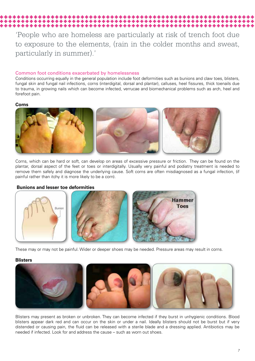## 'People who are homeless are particularly at risk of trench foot due to exposure to the elements, (rain in the colder months and sweat, particularly in summer).'

#### Common foot conditions exacerbated by homelessness

Conditions occurring equally in the general population include foot deformities such as bunions and claw toes, blisters, fungal skin and fungal nail infections, corns (interdigital, dorsal and plantar), calluses, heel fissures, thick toenails due to trauma, in growing nails which can become infected, verrucae and biomechanical problems such as arch, heel and forefoot pain.

#### **Corns**



Corns, which can be hard or soft, can develop on areas of excessive pressure or friction. They can be found on the plantar, dorsal aspect of the feet or toes or interdigitally. Usually very painful and podiatry treatment is needed to remove them safely and diagnose the underlying cause. Soft corns are often misdiagnosed as a fungal infection, (if painful rather than itchy it is more likely to be a corn).

#### **Bunions and lesser toe deformities**



These may or may not be painful. Wider or deeper shoes may be needed. Pressure areas may result in corns.

#### **Blisters**



Blisters may present as broken or unbroken. They can become infected if they burst in unhygienic conditions. Blood blisters appear dark red and can occur on the skin or under a nail. Ideally blisters should not be burst but if very distended or causing pain, the fluid can be released with a sterile blade and a dressing applied. Antibiotics may be needed if infected. Look for and address the cause – such as worn out shoes.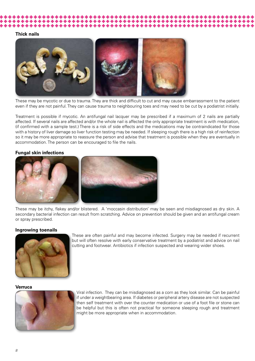#### **Thick nails**



These may be mycotic or due to trauma. They are thick and difficult to cut and may cause embarrassment to the patient even if they are not painful. They can cause trauma to neighbouring toes and may need to be cut by a podiatrist initially.

Treatment is possible if mycotic. An antifungal nail lacquer may be prescribed if a maximum of 2 nails are partially affected. If several nails are affected and/or the whole nail is affected the only appropriate treatment is with medication, (if confirmed with a sample test.) There is a risk of side effects and the medications may be contraindicated for those with a history of liver damage so liver function testing may be needed. If sleeping rough there is a high risk of reinfection so it may be more appropriate to reassure the person and advise that treatment is possible when they are eventually in accommodation. The person can be encouraged to file the nails.

#### **Fungal skin infections**



These may be itchy, flakey and/or blistered. A 'moccasin distribution' may be seen and misdiagnosed as dry skin. A secondary bacterial infection can result from scratching. Advice on prevention should be given and an antifungal cream or spray prescribed.

#### **Ingrowing toenails**



These are often painful and may become infected. Surgery may be needed if recurrent but will often resolve with early conservative treatment by a podiatrist and advice on nail cutting and footwear. Antibiotics if infection suspected and wearing wider shoes.

#### **Verruca**



Viral infection. They can be misdiagnosed as a corn as they look similar. Can be painful if under a weightbearing area. If diabetes or peripheral artery disease are not suspected then self treatment with over the counter medication or use of a foot file or stone can be helpful but this is often not practical for someone sleeping rough and treatment might be more appropriate when in accommodation.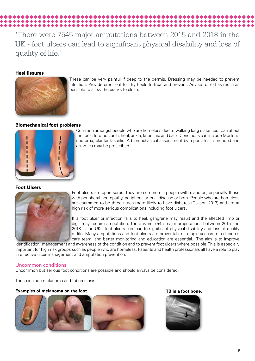'There were 7545 major amputations between 2015 and 2018 in the UK - foot ulcers can lead to significant physical disability and loss of quality of life.'

#### **Heel fissures**



These can be very painful if deep to the dermis. Dressing may be needed to prevent infection. Provide emollient for dry heels to treat and prevent. Advise to rest as much as possible to allow the cracks to close.

#### **Biomechanical foot problems**



Common amongst people who are homeless due to walking long distances. Can affect the toes, forefoot, arch, heel, ankle, knee, hip and back. Conditions can include Morton's neuroma, plantar fasciitis. A biomechanical assessment by a podiatrist is needed and orthotics may be prescribed.

#### **Foot Ulcers**



Foot ulcers are open sores. They are common in people with diabetes, especially those with peripheral neuropathy, peripheral arterial disease or both. People who are homeless are estimated to be three times more likely to have diabetes (Gallant, 2013) and are at high risk of more serious complications including foot ulcers.

If a foot ulcer or infection fails to heal, gangrene may result and the affected limb or digit may require amputation. There were 7545 major amputations between 2015 and 2018 in the UK - foot ulcers can lead to significant physical disability and loss of quality of life. Many amputations and foot ulcers are preventable so rapid access to a diabetes care team, and better monitoring and education are essential. The aim is to improve

identification, management and awareness of the condition and to prevent foot ulcers where possible. This is especially important for high risk groups such as people who are homeless. Patients and health professionals all have a role to play in effective ulcer management and amputation prevention.

#### Uncommon conditions

Uncommon but serious foot conditions are possible and should always be considered.

These include melanoma and Tuberculosis.

#### **Examples of melanoma on the foot.** The second section of the second section of the second section of the second section of the second section of the second section of the second section of the second section of the second





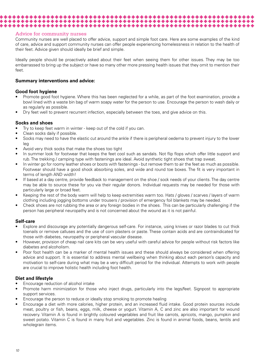#### Advice for community nurses

Community nurses are well placed to offer advice, support and simple foot care. Here are some examples of the kind of care, advice and support community nurses can offer people experiencing homelessness in relation to the health of their feet. Advice given should ideally be brief and simple.

Ideally people should be proactively asked about their feet when seeing them for other issues. They may be too embarrassed to bring up the subject or have so many other more pressing health issues that they omit to mention their feet.

#### **Summary interventions and advice:**

#### **Good foot hygiene**

- Promote good foot hygiene. Where this has been neglected for a while, as part of the foot examination, provide a bowl lined with a waste bin bag of warm soapy water for the person to use. Encourage the person to wash daily or as regularly as possible.
- Dry feet well to prevent recurrent infection, especially between the toes, and give advice on this.

\*\*\*\*\*\*\*\*\*\*\*\*\*\*\*\*\*\*\*\*\*\*\*\*\*\*\*\*\*\*\*\*\*\*\*\* 

#### **Socks and shoes**

- Try to keep feet warm in winter keep out of the cold if you can.
- Clean socks daily if possible.
- Socks may need to have the elastic cut around the ankle if there is peripheral oedema to prevent injury to the lower leg
- Avoid very thick socks that make the shoes too tight
- In summer look for footwear that keeps the feet cool such as sandals. Not flip flops which offer little support and rub. The trekking / camping type with fastenings are ideal. Avoid synthetic tight shoes that trap sweat.
- In winter go for roomy leather shoes or boots with fastenings but remove them to air the feet as much as possible. Footwear should have a good shock absorbing soles, and wide and round toe boxes. The fit is very important in terms of length AND width!
- If based at a day centre, provide feedback to management on the shoe / sock needs of your clients. The day centre may be able to source these for you via their regular donors. Individual requests may be needed for those with particularly large or broad feet.
- Keeping the rest of the body warm will help to keep extremities warm too. Hats / gloves / scarves / layers of warm clothing including jogging bottoms under trousers / provision of emergency foil blankets may be needed.
- Check shoes are not rubbing the area or any foreign bodies in the shoes. This can be particularly challenging if the person has peripheral neuropathy and is not concerned about the wound as it is not painful.

#### **Self-care**

- Explore and discourage any potentially dangerous self-care. For instance, using knives or razor blades to cut thick toenails or remove calluses and the use of corn plasters or paste. These contain acids and are contraindicated for those with diabetes, neuropathy or peripheral vascular disease.
- However, provision of cheap nail care kits can be very useful with careful advice for people without risk factors like diabetes and alcoholism.
- Poor foot health can be a marker of mental health issues and these should always be considered when offering advice and support. It is essential to address mental wellbeing when thinking about each person's capacity and motivation to self-care during what may be a very difficult period for the individual. Attempts to work with people are crucial to improve holistic health including foot health.

#### **Diet and lifestyle**

- Encourage reduction of alcohol intake
- Promote harm minimization for those who inject drugs, particularly into the legs/feet. Signpost to appropriate support services.
- Encourage the person to reduce or ideally stop smoking to promote healing
- Encourage a diet with more calories, higher protein, and an increased fluid intake. Good protein sources include meat, poultry or fish, beans, eggs, milk, cheese or yogurt. Vitamin A, C and zinc are also important for wound recovery. Vitamin A is found in brightly coloured vegetables and fruit like carrots, apricots, mango, pumpkin and sweet potato. Vitamin C is found in many fruit and vegetables. Zinc is found in animal foods, beans, lentils and wholegrain items.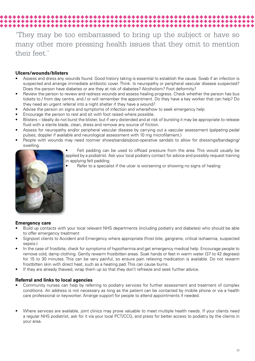## 'They may be too embarrassed to bring up the subject or have so many other more pressing health issues that they omit to mention their feet.'

#### **Ulcers/wounds/blisters**

- Assess and dress any wounds found. Good history taking is essential to establish the cause. Swab if an infection is suspected and arrange immediate antibiotic cover. Think: Is neuropathy or peripheral vascular disease suspected? Does the person have diabetes or are they at risk of diabetes? Alcoholism? Foot deformity?
- Review the person to review and redress wounds and assess healing progress. Check whether the person has bus tickets to / from day centre, and / or will remember the appointment. Do they have a key worker that can help? Do they need an urgent referral into a night shelter if they have a wound?
- Advise the person on signs and symptoms of infection and where/how to seek emergency help

\*\*\*\*\*\*\*\*\*\*\*\*\*\*\*\*\*\*\*\*\*\*\*\*\*\*\*\*\*\*

- Encourage the person to rest and sit with foot raised where possible.
- Blisters Ideally do not burst the blister, but if very distended and at risk of bursting it may be appropriate to release fluid with a sterile blade, clean, dress and remove any source of friction.
- Assess for neuropathy and/or peripheral vascular disease by carrying out a vascular assessment (palpating pedal pulses, doppler if available and neurological assessment with 10 mg microfilament.)
- People with wounds may need roomier shoes/sandals/post-operative sandals to allow for dressings/bandaging/ swelling.



• Felt padding can be used to offload pressure from the area. This would usually be applied by a podiatrist. Ask your local podiatry contact for advice and possibly request training in applying felt padding.

Refer to a specialist if the ulcer is worsening or showing no signs of healing

#### **Emergency care**

- Build up contacts with your local relevant NHS departments (including podiatry and diabetes) who should be able to offer emergency treatment
- Signpost clients to Accident and Emergency where appropriate (frost bite, gangrene, critical ischaemia, suspected sepsis.)
- In the case of frostbite, check for symptoms of hypothermia and get emergency medical help. Encourage people to remove cold, damp clothing. Gently rewarm frostbitten areas. Soak hands or feet in warm water (37 to 42 degrees) for 15 to 30 minutes. This can be very painful, so ensure pain relieving medication is available. Do not rewarm frostbitten skin with direct heat, such as a heating pad. This can cause burns.
- If they are already thawed, wrap them up so that they don't refreeze and seek further advice.

#### **Referral and links to local agencies**

- Community nurses can help by referring to podiatry services for further assessment and treatment of complex conditions. An address is not necessary as long as the patient can be contacted by mobile phone or via a health care professional or keyworker. Arrange support for people to attend appointments if needed.
- Where services are available, joint clinics may prove valuable to meet multiple health needs. If your clients need a regular NHS podiatrist, ask for it via your local PCT/CCG, and press for better access to podiatry by the clients in your area.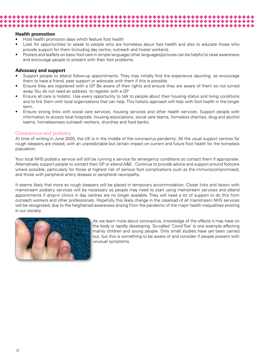#### **Health promotion**

• Hold health promotion days which feature foot health

\*\*\*\*\*\*\*\*\*\*\*\*\*\*\*\*\*\*\*\*\*\*\*\*\*\*\*\*

- Look for opportunities to speak to people who are homeless about foot health and also to educate those who provide support for them (including day centre, outreach and hostel workers).
- Posters and leaflets on basic foot care in simple language/ other languages/pictures can be helpful to raise awareness and encourage people to present with their foot problems.

#### **Advocacy and support**

- Support people to attend follow-up appointments. They may initially find the experience daunting, so encourage them to have a friend, peer support or advocate with them if this is possible.
- Ensure they are registered with a GP. Be aware of their rights and ensure they are aware of them so not turned away. You do not need an address to register with a GP
- Ensure all care is holistic. Use every opportunity to talk to people about their housing status and living conditions and to link them with local organisations that can help. This holistic approach will help with foot health in the longer term.
- Ensure strong links with social care services, housing services and other health services. Support people with information to access local hospitals, housing associations, social care teams, homeless charities, drug and alcohol teams, homelessness outreach workers, churches and food banks.

#### Coronavirus and podiatry

At time of writing in June 2020, the UK is in the middle of the coronavirus pandemic. All the usual support centres for rough sleepers are closed, with an unpredictable but certain impact on current and future foot health for the homeless population.

Your local NHS podiatry service will still be running a service for emergency conditions so contact them if appropriate. Alternatively support people to contact their GP or attend A&E. Continue to provide advice and support around footcare where possible, particularly for those at highest risk of serious foot complications such as the immunocompromised, and those with peripheral artery disease or peripheral neuropathy.

It seems likely that more ex rough sleepers will be placed in temporary accommodation. Closer links and liaison with mainstream podiatry services will be necessary as people may need to start using mainstream services and attend appointments if drop-in clinics in day centres are no longer available. They will need a lot of support to do this from outreach workers and other professionals. Hopefully this likely change in the caseload of all mainstream NHS services will be recognised, due to the heightened awareness arising from the pandemic of the major health inequalities existing in our society.



As we learn more about coronavirus, knowledge of the effects it may have on the body is rapidly developing. So-called 'Covid Toe' is one example affecting mainly children and young people. Only small studies have yet been carried out, but this is something to be aware of and consider if people present with unusual symptoms.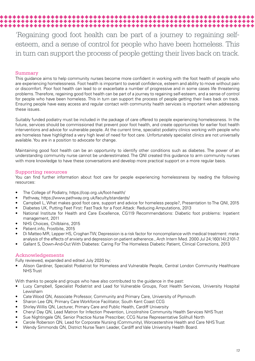## 'Regaining good foot health can be part of a journey to regaining self-

esteem, and a sense of control for people who have been homeless. This in turn can support the process of people getting their lives back on track.

### Summary

This guidance aims to help community nurses become more confident in working with the foot health of people who are experiencing homelessness. Foot health is important to overall confidence, esteem and ability to move without pain or discomfort. Poor foot health can lead to or exacerbate a number of progressive and in some cases life threatening problems. Therefore, regaining good foot health can be part of a journey to regaining self-esteem, and a sense of control for people who have been homeless. This in turn can support the process of people getting their lives back on track. Ensuring people have easy access and regular contact with community health services is important when addressing these issues.

Suitably funded podiatry must be included in the package of care offered to people experiencing homelessness. In the future, services should be commissioned that prevent poor foot health, and create opportunities for earlier foot health interventions and advice for vulnerable people. At the current time, specialist podiatry clinics working with people who are homeless have highlighted a very high level of need for foot care. Unfortunately specialist clinics are not universally available. You are in a position to advocate for change.

Maintaining good foot health can be an opportunity to identify other conditions such as diabetes. The power of an understanding community nurse cannot be underestimated. The QNI created this guidance to arm community nurses with more knowledge to have these conversations and develop more practical support on a more regular basis.

### Supporting resources

You can find further information about foot care for people experiencing homelessness by reading the following resources:

- The College of Podiatry, https://cop.org.uk/foot-health/
- Pathway, https://www.pathway.org.uk/faculty/standards/
- Campbell L, What makes good foot care, support and advice for homeless people?, Presentation to The QNI, 2015
- Diabetes UK, Putting Feet First: Fast Track for a Foot Attack: Reducing Amputations, 2013
- National Institute for Health and Care Excellence, CG119 Recommendations: Diabetic foot problems: Inpatient management, 2011
- NHS Choices, Chilblains, 2015
- Patient.info, Frostbite, 2015
- Di Matteo MR, Lepper HS, Croghan TW, Depression is a risk factor for noncompliance with medical treatment: metaanalysis of the effects of anxiety and depression on patient adherence., Arch Intern Med. 2000 Jul 24;160(14):2101-7.
- Gallant S, Down-And-Out With Diabetes: Caring For The Homeless Diabetic Patient, Clinical Corrections, 2013

### Acknowledgements

Fully reviewed, expanded and edited July 2020 by:

• Alison Gardiner, Specialist Podiatrist for Homeless and Vulnerable People, Central London Community Healthcare NHS Trust

With thanks to people and groups who have also contributed to the guidance in the past:

- Lucy Campbell, Specialist Podiatrist and Lead for Vulnerable Groups, Foot Health Services, University Hospital Lewisham
- Cate Wood QN, Associate Professor, Community and Primary Care, University of Plymouth
- Sharon Lee QN, Primary Care Workforce Facilitator, South Kent Coast CCG
- Shirley Willis QN, Lecturer, Primary Care and Public Health, Cardiff University
- Cheryl Day QN, Lead Matron for Infection Prevention, Lincolnshire Community Health Services NHS Trust
- Sue Nightingale QN, Senior Practice Nurse Prescriber, CCG Nurse Representative Solihull North
- Carole Roberson QN, Lead for Corporate Nursing (Community), Worcestershire Health and Care NHS Trust
- Wendy Simmonds QN, District Nurse Team Leader, Cardiff and Vale University Health Board.